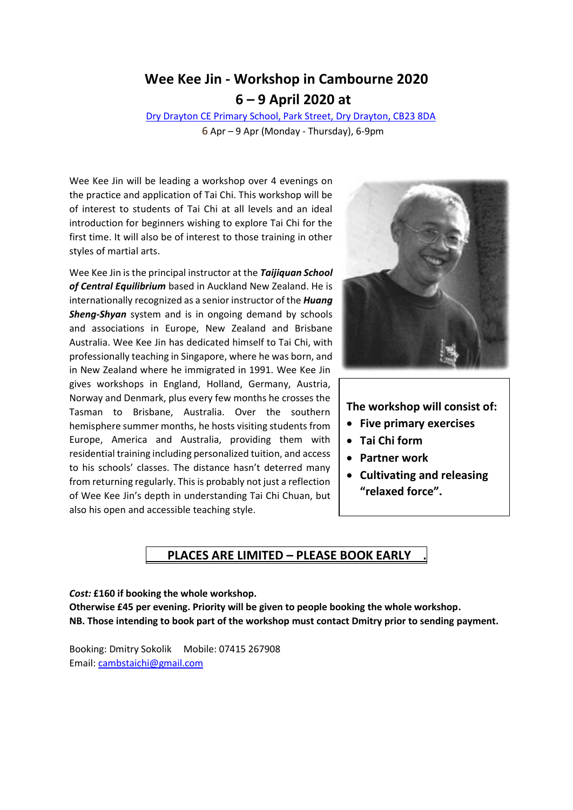## **Wee Kee Jin - Workshop in Cambourne 2020 6 – 9 April 2020 at**

Dry Drayton CE [Primary School, Park Street,](https://goo.gl/maps/sFohvJTusov) Dry Drayton, CB23 8DA 6 Apr – 9 Apr (Monday - Thursday), 6-9pm

Wee Kee Jin will be leading a workshop over 4 evenings on the practice and application of Tai Chi. This workshop will be of interest to students of Tai Chi at all levels and an ideal introduction for beginners wishing to explore Tai Chi for the first time. It will also be of interest to those training in other styles of martial arts.

Wee Kee Jin is the principal instructor at the *Taijiquan School of Central Equilibrium* based in Auckland New Zealand. He is internationally recognized as a senior instructor of the *Huang Sheng-Shyan* system and is in ongoing demand by schools and associations in Europe, New Zealand and Brisbane Australia. Wee Kee Jin has dedicated himself to Tai Chi, with professionally teaching in Singapore, where he was born, and in New Zealand where he immigrated in 1991. Wee Kee Jin gives workshops in England, Holland, Germany, Austria, Norway and Denmark, plus every few months he crosses the Tasman to Brisbane, Australia. Over the southern hemisphere summer months, he hosts visiting students from Europe, America and Australia, providing them with residential training including personalized tuition, and access to his schools' classes. The distance hasn't deterred many from returning regularly. This is probably not just a reflection of Wee Kee Jin's depth in understanding Tai Chi Chuan, but also his open and accessible teaching style.



#### **The workshop will consist of:**

- **Five primary exercises**
- **Tai Chi form**
- **Partner work**
- **Cultivating and releasing "relaxed force".**

### **PLACES ARE LIMITED – PLEASE BOOK EARLY .**

*Cost:* **£160 if booking the whole workshop. Otherwise £45 per evening. Priority will be given to people booking the whole workshop. NB. Those intending to book part of the workshop must contact Dmitry prior to sending payment.**

Booking: Dmitry Sokolik Mobile: 07415 267908 Email: [cambstaichi@gmail.com](mailto:cambstaichi@gmail.com)